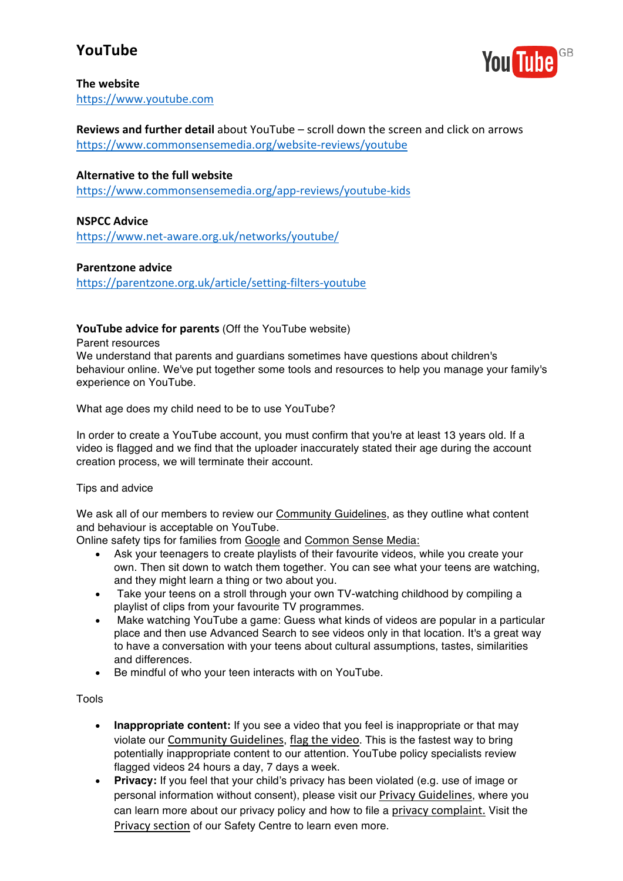# **YouTube**



#### **The website**

https://www.youtube.com

**Reviews and further detail** about YouTube – scroll down the screen and click on arrows https://www.commonsensemedia.org/website-reviews/youtube

#### **Alternative to the full website**

https://www.commonsensemedia.org/app-reviews/youtube-kids

#### **NSPCC Advice**

https://www.net-aware.org.uk/networks/youtube/

#### **Parentzone advice**

https://parentzone.org.uk/article/setting-filters-youtube

#### **YouTube advice for parents** (Off the YouTube website)

Parent resources

We understand that parents and guardians sometimes have questions about children's behaviour online. We've put together some tools and resources to help you manage your family's experience on YouTube.

What age does my child need to be to use YouTube?

In order to create a YouTube account, you must confirm that you're at least 13 years old. If a video is flagged and we find that the uploader inaccurately stated their age during the account creation process, we will terminate their account.

#### Tips and advice

We ask all of our members to review our Community Guidelines, as they outline what content and behaviour is acceptable on YouTube.

Online safety tips for families from Google and Common Sense Media:

- Ask your teenagers to create playlists of their favourite videos, while you create your own. Then sit down to watch them together. You can see what your teens are watching, and they might learn a thing or two about you.
- Take your teens on a stroll through your own TV-watching childhood by compiling a playlist of clips from your favourite TV programmes.
- Make watching YouTube a game: Guess what kinds of videos are popular in a particular place and then use Advanced Search to see videos only in that location. It's a great way to have a conversation with your teens about cultural assumptions, tastes, similarities and differences.
- Be mindful of who your teen interacts with on YouTube.

Tools

- **Inappropriate content:** If you see a video that you feel is inappropriate or that may violate our Community Guidelines, flag the video. This is the fastest way to bring potentially inappropriate content to our attention. YouTube policy specialists review flagged videos 24 hours a day, 7 days a week.
- **Privacy:** If you feel that your child's privacy has been violated (e.g. use of image or personal information without consent), please visit our Privacy Guidelines, where you can learn more about our privacy policy and how to file a privacy complaint. Visit the Privacy section of our Safety Centre to learn even more.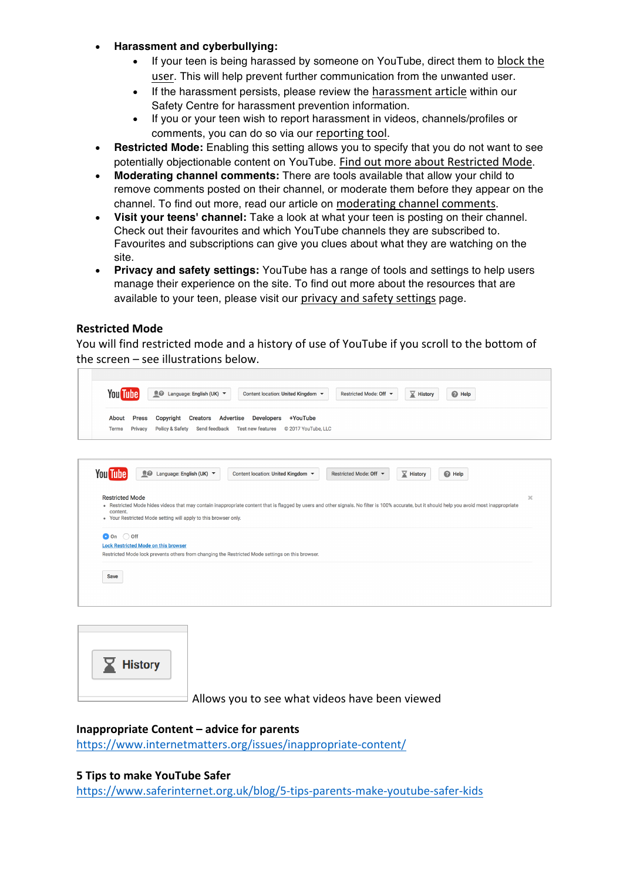#### • **Harassment and cyberbullying:**

- If your teen is being harassed by someone on YouTube, direct them to block the user. This will help prevent further communication from the unwanted user.
- If the harassment persists, please review the harassment article within our Safety Centre for harassment prevention information.
- If you or your teen wish to report harassment in videos, channels/profiles or comments, you can do so via our reporting tool.
- **Restricted Mode:** Enabling this setting allows you to specify that you do not want to see potentially objectionable content on YouTube. Find out more about Restricted Mode.
- **Moderating channel comments:** There are tools available that allow your child to remove comments posted on their channel, or moderate them before they appear on the channel. To find out more, read our article on moderating channel comments.
- **Visit your teens' channel:** Take a look at what your teen is posting on their channel. Check out their favourites and which YouTube channels they are subscribed to. Favourites and subscriptions can give you clues about what they are watching on the site.
- **Privacy and safety settings:** YouTube has a range of tools and settings to help users manage their experience on the site. To find out more about the resources that are available to your teen, please visit our privacy and safety settings page.

### **Restricted Mode**

 $\lceil$ 

You will find restricted mode and a history of use of YouTube if you scroll to the bottom of the screen  $-$  see illustrations below.

| <u>®</u> Language: English (UK) ▼<br><b>You Tube</b><br>$\sqrt{\phantom{a}}$ History<br>Content location: United Kingdom ▼<br>Restricted Mode: Off ▼<br><sup>O</sup> Help |                                                                    |                                                                                                                                                                                               |                        |                              |                   |          |
|---------------------------------------------------------------------------------------------------------------------------------------------------------------------------|--------------------------------------------------------------------|-----------------------------------------------------------------------------------------------------------------------------------------------------------------------------------------------|------------------------|------------------------------|-------------------|----------|
| About<br><b>Terms</b>                                                                                                                                                     | <b>Press</b><br>Copyright<br>Privacy<br><b>Policy &amp; Safety</b> | Creators Advertise<br><b>Developers</b><br>+YouTube<br>Send feedback<br><b>Test new features</b><br>C 2017 YouTube, LLC                                                                       |                        |                              |                   |          |
|                                                                                                                                                                           |                                                                    |                                                                                                                                                                                               |                        |                              |                   |          |
| You <b>Tube</b>                                                                                                                                                           | <u>■</u> Language: English (UK) ▼                                  | Content location: United Kingdom ▼                                                                                                                                                            | Restricted Mode: Off ▼ | $\sqrt{\phantom{a}}$ History | <sup>O</sup> Help |          |
| <b>Restricted Mode</b><br>content.                                                                                                                                        | . Your Restricted Mode setting will apply to this browser only.    | • Restricted Mode hides videos that may contain inappropriate content that is flagged by users and other signals. No filter is 100% accurate, but it should help you avoid most inappropriate |                        |                              |                   | $\times$ |
| $\bigcirc$ off<br>$\bullet$ On                                                                                                                                            | <b>Lock Restricted Mode on this browser</b>                        | Restricted Mode lock prevents others from changing the Restricted Mode settings on this browser.                                                                                              |                        |                              |                   |          |
| <b>Save</b>                                                                                                                                                               |                                                                    |                                                                                                                                                                                               |                        |                              |                   |          |
|                                                                                                                                                                           |                                                                    |                                                                                                                                                                                               |                        |                              |                   |          |



Allows you to see what videos have been viewed

## **Inappropriate Content – advice for parents**

https://www.internetmatters.org/issues/inappropriate-content/

#### **5 Tips to make YouTube Safer**

https://www.saferinternet.org.uk/blog/5-tips-parents-make-youtube-safer-kids